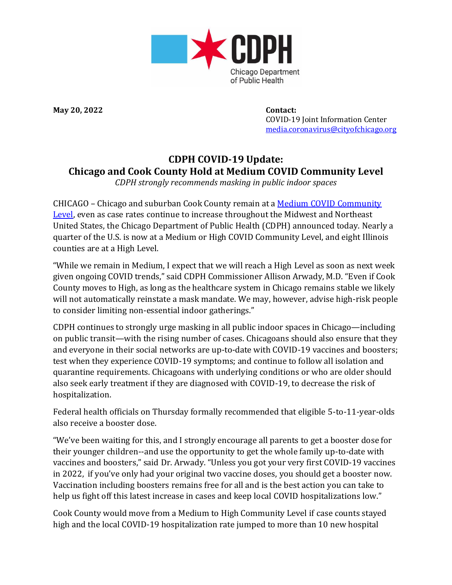

**May 20, 2022 Contact:**

 COVID-19 Joint Information Center [media.coronavirus@cityofchicago.org](mailto:media.coronavirus@cityofchicago.org)

## **CDPH COVID-19 Update: Chicago and Cook County Hold at Medium COVID Community Level**

*CDPH strongly recommends masking in public indoor spaces*

CHICAGO – Chicago and suburban Cook County remain at a [Medium COVID Community](https://covid.cdc.gov/covid-data-tracker/#county-view?list_select_state=all_states&list_select_county=all_counties&data-type=CommunityLevels)  [Level,](https://covid.cdc.gov/covid-data-tracker/#county-view?list_select_state=all_states&list_select_county=all_counties&data-type=CommunityLevels) even as case rates continue to increase throughout the Midwest and Northeast United States, the Chicago Department of Public Health (CDPH) announced today. Nearly a quarter of the U.S. is now at a Medium or High COVID Community Level, and eight Illinois counties are at a High Level.

"While we remain in Medium, I expect that we will reach a High Level as soon as next week given ongoing COVID trends," said CDPH Commissioner Allison Arwady, M.D. "Even if Cook County moves to High, as long as the healthcare system in Chicago remains stable we likely will not automatically reinstate a mask mandate. We may, however, advise high-risk people to consider limiting non-essential indoor gatherings."

CDPH continues to strongly urge masking in all public indoor spaces in Chicago—including on public transit—with the rising number of cases. Chicagoans should also ensure that they and everyone in their social networks are up-to-date with COVID-19 vaccines and boosters; test when they experience COVID-19 symptoms; and continue to follow all isolation and quarantine requirements. Chicagoans with underlying conditions or who are older should also seek early treatment if they are diagnosed with COVID-19, to decrease the risk of hospitalization.

Federal health officials on Thursday formally recommended that eligible 5-to-11-year-olds also receive a booster dose.

"We've been waiting for this, and I strongly encourage all parents to get a booster dose for their younger children--and use the opportunity to get the whole family up-to-date with vaccines and boosters," said Dr. Arwady. "Unless you got your very first COVID-19 vaccines in 2022, if you've only had your original two vaccine doses, you should get a booster now. Vaccination including boosters remains free for all and is the best action you can take to help us fight off this latest increase in cases and keep local COVID hospitalizations low."

Cook County would move from a Medium to High Community Level if case counts stayed high and the local COVID-19 hospitalization rate jumped to more than 10 new hospital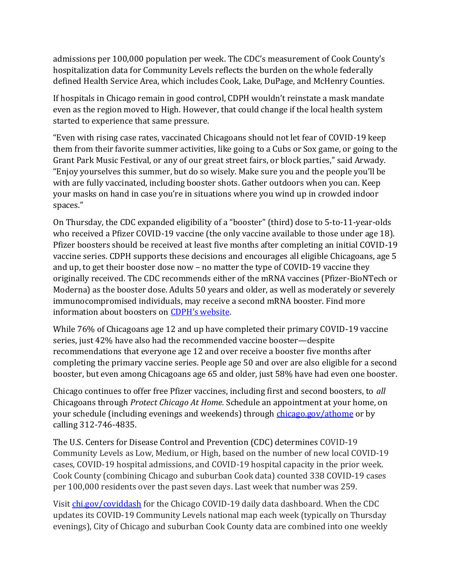admissions per 100,000 population per week. The CDC's measurement of Cook County's hospitalization data for Community Levels reflects the burden on the whole federally defined Health Service Area, which includes Cook, Lake, DuPage, and McHenry Counties.

If hospitals in Chicago remain in good control, CDPH wouldn't reinstate a mask mandate even as the region moved to High. However, that could change if the local health system started to experience that same pressure.

"Even with rising case rates, vaccinated Chicagoans should not let fear of COVID-19 keep them from their favorite summer activities, like going to a Cubs or Sox game, or going to the Grant Park Music Festival, or any of our great street fairs, or block parties," said Arwady. "Enjoy yourselves this summer, but do so wisely. Make sure you and the people you'll be with are fully vaccinated, including booster shots. Gather outdoors when you can. Keep your masks on hand in case you're in situations where you wind up in crowded indoor spaces."

On Thursday, the CDC expanded eligibility of a "booster" (third) dose to 5-to-11-year-olds who received a Pfizer COVID-19 vaccine (the only vaccine available to those under age 18). Pfizer boosters should be received at least five months after completing an initial COVID-19 vaccine series. CDPH supports these decisions and encourages all eligible Chicagoans, age 5 and up, to get their booster dose now – no matter the type of COVID-19 vaccine they originally received. The CDC recommends either of the mRNA vaccines (Pfizer-BioNTech or Moderna) as the booster dose. Adults 50 years and older, as well as moderately or severely immunocompromised individuals, may receive a second mRNA booster. Find more information about boosters on [CDPH's website](https://www.chicago.gov/city/en/sites/covid19-vaccine/home/boosters.html).

While 76% of Chicagoans age 12 and up have completed their primary COVID-19 vaccine series, just 42% have also had the recommended vaccine booster—despite recommendations that everyone age 12 and over receive a booster five months after completing the primary vaccine series. People age 50 and over are also eligible for a second booster, but even among Chicagoans age 65 and older, just 58% have had even one booster.

Chicago continues to offer free Pfizer vaccines, including first and second boosters, to *all*  Chicagoans through *Protect Chicago At Home.* Schedule an appointment at your home, on your schedule (including evenings and weekends) through [chicago.gov/athome](https://www.chicago.gov/city/en/sites/covid19-vaccine/home/in-home-vaccination-program.html) or by calling 312-746-4835.

The U.S. Centers for Disease Control and Prevention (CDC) determines COVID-19 Community Levels as Low, Medium, or High, based on the number of new local COVID-19 cases, COVID-19 hospital admissions, and COVID-19 hospital capacity in the prior week. Cook County (combining Chicago and suburban Cook data) counted 338 COVID-19 cases per 100,000 residents over the past seven days. Last week that number was 259.

Visit [chi.gov/coviddash](https://www.chicago.gov/city/en/sites/covid-19/home/covid-dashboard.html) for the Chicago COVID-19 daily data dashboard. When the CDC updates its COVID-19 Community Levels national map each week (typically on Thursday evenings), City of Chicago and suburban Cook County data are combined into one weekly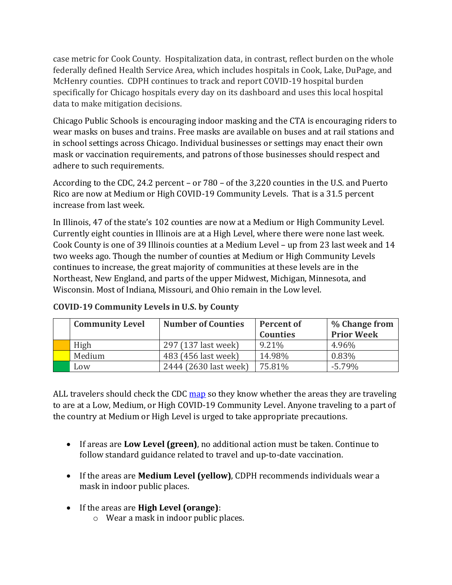case metric for Cook County. Hospitalization data, in contrast, reflect burden on the whole federally defined Health Service Area, which includes hospitals in Cook, Lake, DuPage, and McHenry counties. CDPH continues to track and report COVID-19 hospital burden specifically for Chicago hospitals every day on its dashboard and uses this local hospital data to make mitigation decisions.

Chicago Public Schools is encouraging indoor masking and the CTA is encouraging riders to wear masks on buses and trains. Free masks are available on buses and at rail stations and in school settings across Chicago. Individual businesses or settings may enact their own mask or vaccination requirements, and patrons of those businesses should respect and adhere to such requirements.

According to the CDC, 24.2 percent – or 780 – of the 3,220 counties in the U.S. and Puerto Rico are now at Medium or High COVID-19 Community Levels. That is a 31.5 percent increase from last week.

In Illinois, 47 of the state's 102 counties are now at a Medium or High Community Level. Currently eight counties in Illinois are at a High Level, where there were none last week. Cook County is one of 39 Illinois counties at a Medium Level – up from 23 last week and 14 two weeks ago. Though the number of counties at Medium or High Community Levels continues to increase, the great majority of communities at these levels are in the Northeast, New England, and parts of the upper Midwest, Michigan, Minnesota, and Wisconsin. Most of Indiana, Missouri, and Ohio remain in the Low level.

| <b>Community Level</b> | <b>Number of Counties</b> | <b>Percent of</b><br><b>Counties</b> | % Change from<br><b>Prior Week</b> |
|------------------------|---------------------------|--------------------------------------|------------------------------------|
| High                   | 297 (137 last week)       | 9.21%                                | 4.96%                              |
| Medium                 | 483 (456 last week)       | 14.98%                               | 0.83%                              |
| Low                    | 2444 (2630 last week)     | 75.81%                               | $-5.79\%$                          |

| <b>COVID-19 Community Levels in U.S. by County</b> |  |  |  |
|----------------------------------------------------|--|--|--|
|----------------------------------------------------|--|--|--|

ALL travelers should check the CDC [map](https://covid.cdc.gov/covid-data-tracker/#county-view?list_select_state=all_states&list_select_county=all_counties&data-type=) so they know whether the areas they are traveling to are at a Low, Medium, or High COVID-19 Community Level. Anyone traveling to a part of the country at Medium or High Level is urged to take appropriate precautions.

- If areas are **Low Level (green)**, no additional action must be taken. Continue to follow standard guidance related to travel and up-to-date vaccination.
- If the areas are **Medium Level (yellow)**, CDPH recommends individuals wear a mask in indoor public places.
- If the areas are **High Level (orange)**:
	- o Wear a mask in indoor public places.